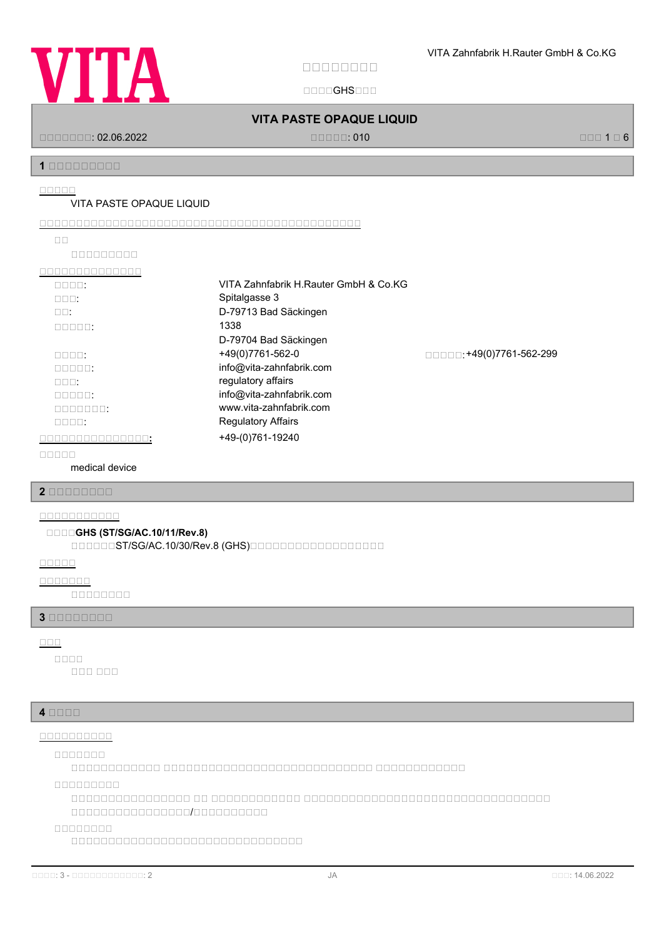

国国国国GHS国国国

# **VITA PASTE OPAQUE LIQUID**

国国国国国国国: 02.06.2022 国国国国国: 010 国国国 1 国 6

**1 安安安安安安安安安**

#### **安安安安安**

#### VITA PASTE OPAQUE LIQUID

**安安安安安安安安安安安安安安安安安安安安安安安安安安安安安安安安安安安安安安安安安安安安**

| ПΠ               |                                       |                         |
|------------------|---------------------------------------|-------------------------|
| <u>mananana</u>  |                                       |                         |
|                  |                                       |                         |
| nnnn:            | VITA Zahnfabrik H.Rauter GmbH & Co.KG |                         |
| $\Box \Box \Box$ | Spitalgasse 3                         |                         |
| $\Box \Box$ :    | D-79713 Bad Säckingen                 |                         |
| 00000:           | 1338                                  |                         |
|                  | D-79704 Bad Säckingen                 |                         |
| nnnn:            | +49(0)7761-562-0                      | □□□□:+49(0)7761-562-299 |
| nnnn:            | info@vita-zahnfabrik.com              |                         |
| nnn:             | regulatory affairs                    |                         |
| nnnn:            | info@vita-zahnfabrik.com              |                         |
| nnnnnn:          | www.vita-zahnfabrik.com               |                         |
| nnnn:            | <b>Regulatory Affairs</b>             |                         |
|                  | +49-(0)761-19240                      |                         |
|                  |                                       |                         |

**安安安安安**

medical device

**2 安安安安安安安安**

# **安安安安安安安安安安安**

#### **安安安安GHS (ST/SG/AC.10/11/Rev.8)**

国国国国国国ST/SG/AC.10/30/Rev.8 (GHS)国国国国国国国国国国国国国国国国国国

**安安安安安**

# **安安安安安安安**

国国国国国国国国

#### **3 安安安安安安安安**

# **安安安**

国国国 国国国 **安安安安**

#### **4 安安安安**

# **安安安安安安安安安安**

**安安安安安安安**

国国国国国国国国国国国国 国国国国国国国国国国国国国国国国国国国国国国国国国国国国 国国国国国国国国国国国国

**安安安安安安安安安**

国国国国国国国国国国国国国国国国 国国 国国国国国国国国国国国国 国国国国国国国国国国国国国国国国国国国国国国国国国国国国国国国国国 国国国国国国国国国国国国国国国国/国国国国国国国国国国

**安安安安安安安安**

国国国国国国国国国国国国国国国国国国国国国国国国国国国国国国国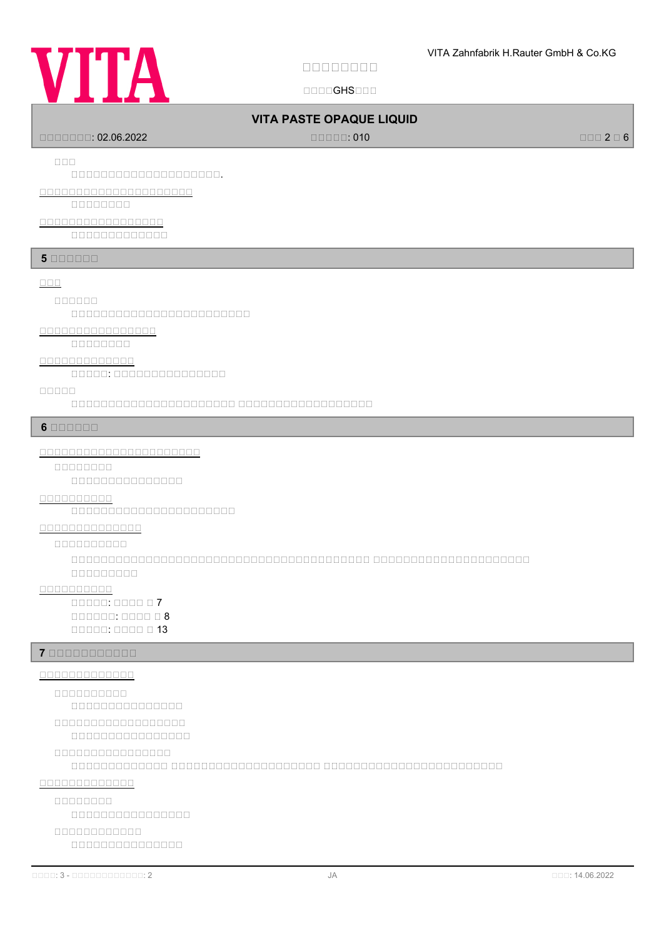

国国国国GHS国国国

# **VITA PASTE OPAQUE LIQUID**

国国国国国国国: 02.06.2022 国国国国国: 010 国国国 2 国 6

**安安安**

# 国国国国国国国国国国国国国国国国国国国国.

**安安安安安安安安安安安安安安安安安安安安安**

国国国国国国国国

# **安安安安安安安安安安安安安安安安安**

国国国国国国国国国国国国国

# **5 BOODDD**

#### **BBB**

#### **安安安安安安**

国国国国国国国国国国国国国国国国国国国国国国国国

# **安安安安安安安安安安安安安安安安**

国国国国国国国国

#### **安安安安安安安安安安安安安**

国国国国国: 国国国国国国国国国国国国国国国

#### **安安安安安**

国国国国国国国国国国国国国国国国国国国国国国 国国国国国国国国国国国国国国国国国国

### **6 安安安安安安**

#### **安安安安安安安安安安安安安安安安安安安安安安**

**安安安安安安安安**

国国国国国国国国国国国国国国国

# **安安安安安安安安安安**

国国国国国国国国国国国国国国国国国国国国国国

#### **安安安安安安安安安安安安安安**

#### **安安安安安安安安安安**

国国国国国国国国国国国国国国国国国国国国国国国国国国国国国国国国国国国国国国国国 国国国国国国国国国国国国国国国国国国国国国 国国国国国国国国国

# **安安安安安安安安安安**

国国国国国: 国国国国 国 7  $\Box$  $\Box$ 

#### **7 安安安安安安安安安安安**

# **安安安安安安安安安安安安安**

国国国国国国国国国国国国国国国 **安安安安安安安安安安**

#### 国国国国国国国国国国国国国国国国 **安安安安安安安安安安安安安安安安安安**

**安安安安安安安安安安安安安安安安**

国国国国国国国国国国国国国 国国国国国国国国国国国国国国国国国国国国 国国国国国国国国国国国国国国国国国国国国国国国国

#### **安安安安安安安安安安安安安**

**安安安安安安安安**

国国国国国国国国国国国国国国国国

# **安安安安安安安安安安安安**

国国国国国国国国国国国国国国国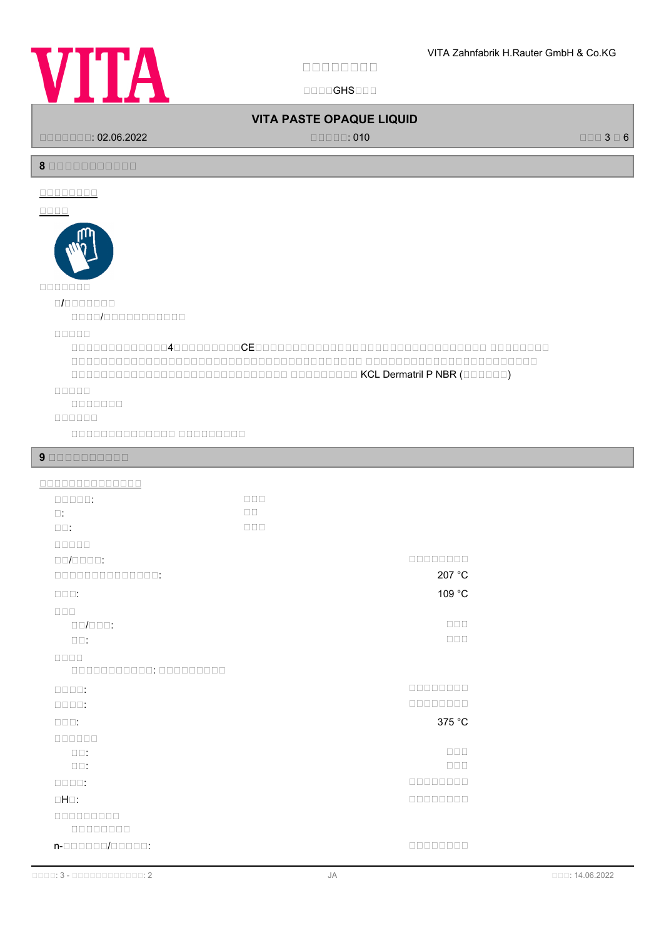

国国国国GHS国国国

# **VITA PASTE OPAQUE LIQUID**

国国国国国国国: 02.06.2022 国国国国国: 010 国国国 3 国 6

# **8 安安安安安安安安安安安**

# **安安安安安安安安**

# **安安安安**



国国国国/国国国国国国国国国国国

#### **安安安安安**

 $\Box$ 国国国国国国国国国国国国国国国国国国国国国国国国国国国国国国国国国国国国国国国 国国国国国国国国国国国国国国国国国国国国国国国  $\Box$ 

# **安安安安安**

国国国国国国国

# **安安安安安安**

国国国国国国国国国国国国国国 国国国国国国国国国

#### **9 安安安安安安安安安安**

| 0000000000000                     |                  |                                 |
|-----------------------------------|------------------|---------------------------------|
| $\Box \Box \Box \Box \Box$        | $\Box \Box \Box$ |                                 |
| $\square$ :                       | $\Box$ Box       |                                 |
| $\Box$ $\Box$                     | $\Box \Box \Box$ |                                 |
| <b>RECEP</b>                      |                  |                                 |
| $\Box \Box / \Box \Box \Box \Box$ |                  | 00000000                        |
| 00000000000000:                   |                  | 207 °C                          |
| $\square\square\square$ :         |                  | 109 °C                          |
| $\Box$                            |                  |                                 |
| $\Box \Box / \Box \Box \Box$      |                  | $\Box \Box \Box$                |
| $\square \square$ :               |                  | $\square \, \square \, \square$ |
| $\Box \Box \Box \Box$             |                  |                                 |
| 000000000000: 000000000           |                  |                                 |
| $\Box \Box \Box \Box$             |                  | 00000000                        |
| $\Box \Box \Box \Box$             |                  | 00000000                        |
| $\Box \Box \Box$                  |                  | 375 °C                          |
| 000000                            |                  |                                 |
| $\square \square$ :               |                  | $\Box \Box \Box$                |
| $\square \square$ :               |                  | $\Box \Box \Box$                |
| $\Box \Box \Box \Box$             |                  | 00000000                        |
| $\Box H \Box$ :                   |                  | 00000000                        |
| <b>DRADARDA</b>                   |                  |                                 |
| 00000000                          |                  |                                 |
| n-000000/00000:                   |                  | nnnnnnn                         |
|                                   |                  |                                 |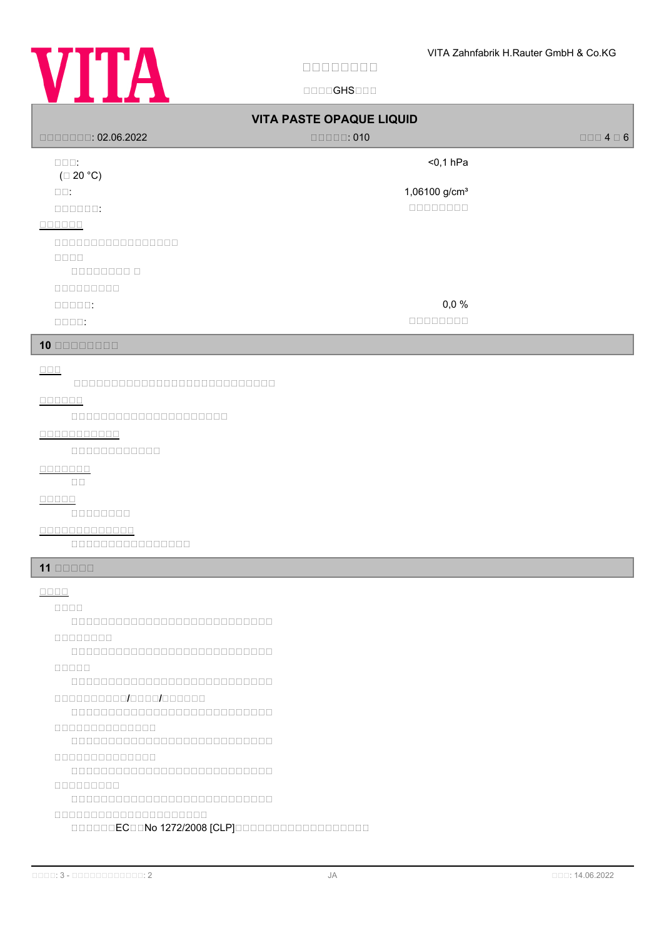

国国国国GHS国国国

| $\Box$ $\Box$ $\Box$ $\Box$ $\Box$ : 02.06.2022                          | <b>VITA PASTE OPAQUE LIQUID</b><br>$\Box$ $\Box$ $\Box$ $\Box$ : 010                                                                                                                                                                                                                                                                                                             | $\Box \Box \Box 4 \Box 6$ |  |
|--------------------------------------------------------------------------|----------------------------------------------------------------------------------------------------------------------------------------------------------------------------------------------------------------------------------------------------------------------------------------------------------------------------------------------------------------------------------|---------------------------|--|
| $\square\square\square$ :<br>$(\square 20 °C)$                           | $<$ 0,1 hPa                                                                                                                                                                                                                                                                                                                                                                      |                           |  |
| $\square \square$ :                                                      | 1,06100 g/cm <sup>3</sup>                                                                                                                                                                                                                                                                                                                                                        |                           |  |
| 000000:                                                                  | $\begin{array}{c} \rule{0pt}{2.5mm} \rule{0pt}{2.5mm} \rule{0pt}{2.5mm} \rule{0pt}{2.5mm} \rule{0pt}{2.5mm} \rule{0pt}{2.5mm} \rule{0pt}{2.5mm} \rule{0pt}{2.5mm} \rule{0pt}{2.5mm} \rule{0pt}{2.5mm} \rule{0pt}{2.5mm} \rule{0pt}{2.5mm} \rule{0pt}{2.5mm} \rule{0pt}{2.5mm} \rule{0pt}{2.5mm} \rule{0pt}{2.5mm} \rule{0pt}{2.5mm} \rule{0pt}{2.5mm} \rule{0pt}{2.5mm} \rule{0$ |                           |  |
| 000000                                                                   |                                                                                                                                                                                                                                                                                                                                                                                  |                           |  |
| 00000000000000000                                                        |                                                                                                                                                                                                                                                                                                                                                                                  |                           |  |
| $\Box\Box\Box\Box$<br>000000000                                          |                                                                                                                                                                                                                                                                                                                                                                                  |                           |  |
| 88888888                                                                 |                                                                                                                                                                                                                                                                                                                                                                                  |                           |  |
| $\Box \Box \Box \Box \Box$                                               | 0,0%                                                                                                                                                                                                                                                                                                                                                                             |                           |  |
| $\Box \Box \Box \Box$ :                                                  | 00000000                                                                                                                                                                                                                                                                                                                                                                         |                           |  |
| $10$ 00000000                                                            |                                                                                                                                                                                                                                                                                                                                                                                  |                           |  |
| $\Box \Box \Box$                                                         |                                                                                                                                                                                                                                                                                                                                                                                  |                           |  |
| 000000                                                                   |                                                                                                                                                                                                                                                                                                                                                                                  |                           |  |
| 000000000000000000000                                                    |                                                                                                                                                                                                                                                                                                                                                                                  |                           |  |
| 00000000000                                                              |                                                                                                                                                                                                                                                                                                                                                                                  |                           |  |
| $00000000000000$                                                         |                                                                                                                                                                                                                                                                                                                                                                                  |                           |  |
| <u>ooooooo</u>                                                           |                                                                                                                                                                                                                                                                                                                                                                                  |                           |  |
| $\square$ $\square$                                                      |                                                                                                                                                                                                                                                                                                                                                                                  |                           |  |
| 00000000                                                                 |                                                                                                                                                                                                                                                                                                                                                                                  |                           |  |
| 0000000000000                                                            |                                                                                                                                                                                                                                                                                                                                                                                  |                           |  |
| 0000000000000000                                                         |                                                                                                                                                                                                                                                                                                                                                                                  |                           |  |
| $11$ $0000$                                                              |                                                                                                                                                                                                                                                                                                                                                                                  |                           |  |
| $\Box \Box \Box \Box$                                                    |                                                                                                                                                                                                                                                                                                                                                                                  |                           |  |
| <b>REDEE</b>                                                             |                                                                                                                                                                                                                                                                                                                                                                                  |                           |  |
| 000000000000000000000000000<br>00000000                                  |                                                                                                                                                                                                                                                                                                                                                                                  |                           |  |
|                                                                          |                                                                                                                                                                                                                                                                                                                                                                                  |                           |  |
|                                                                          |                                                                                                                                                                                                                                                                                                                                                                                  |                           |  |
| 000000000000000000000000000                                              |                                                                                                                                                                                                                                                                                                                                                                                  |                           |  |
| <u>onononono/ooo/oooooo</u><br>000000000000000000000000000               |                                                                                                                                                                                                                                                                                                                                                                                  |                           |  |
| 0000000000000                                                            |                                                                                                                                                                                                                                                                                                                                                                                  |                           |  |
|                                                                          |                                                                                                                                                                                                                                                                                                                                                                                  |                           |  |
| 00000000000000                                                           |                                                                                                                                                                                                                                                                                                                                                                                  |                           |  |
| 800000000                                                                |                                                                                                                                                                                                                                                                                                                                                                                  |                           |  |
| 00000000000000000000000000                                               |                                                                                                                                                                                                                                                                                                                                                                                  |                           |  |
| 000000000000000000000<br>000000EC00No 1272/2008 [CLP]0000000000000000000 |                                                                                                                                                                                                                                                                                                                                                                                  |                           |  |
|                                                                          |                                                                                                                                                                                                                                                                                                                                                                                  |                           |  |
|                                                                          |                                                                                                                                                                                                                                                                                                                                                                                  |                           |  |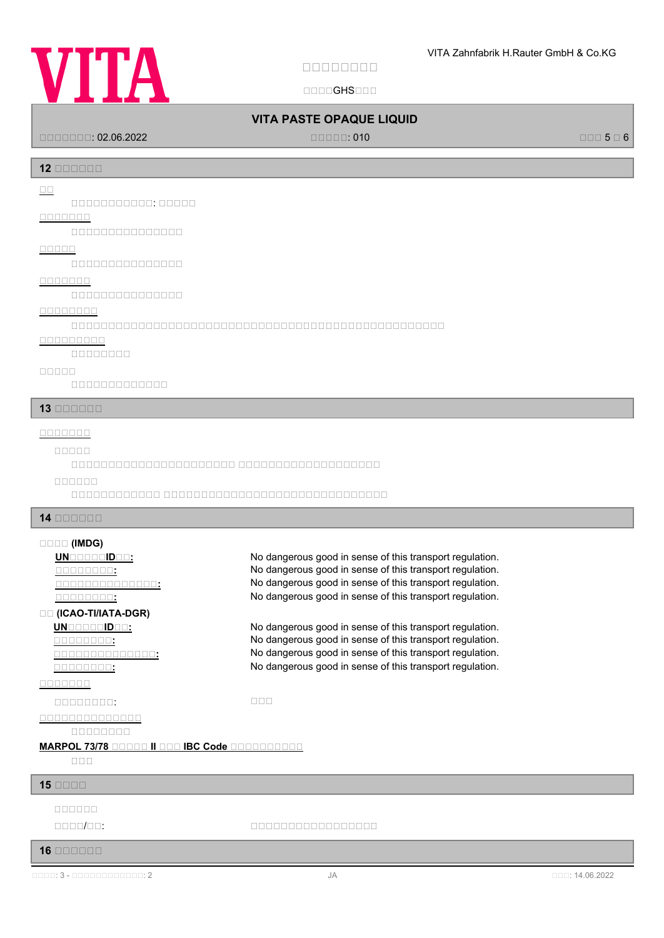# **VITA**

**安安安安安安安安**

国国国国GHS国国国

# **VITA PASTE OPAQUE LIQUID**

国国国国国国国: 02.06.2022 国国国国国: 010 国国国 5 国 6

**12 安安安安安安**

**安安**

国国国国国国国国国国国: 国国国国国

# **安安安安安安安**

国国国国国国国国国国国国国国国

**安安安安安**

国国国国国国国国国国国国国国国

**安安安安安安安**

国国国国国国国国国国国国国国国

#### **安安安安安安安安**

国国国国国国国国国国国国国国国国国国国国国国国国国国国国国国国国国国国国国国国国国国国国国国国国国国

**安安安安安安安安安**

国国国国国国国国

**安安安安安**

国国国国国国国国国国国国国

**13 安安安安安安**

#### **安安安安安安安**

#### **安安安安安**

国国国国国国国国国国国国国国国国国国国国国国 国国国国国国国国国国国国国国国国国国国

**安安安安安安**

国国国国国国国国国国国国 国国国国国国国国国国国国国国国国国国国国国国国国国国国国国国

**14 安安安安安安**

#### **安安安安 (IMDG)**

**UNGGGGBDGG:** No dangerous good in sense of this transport regulation. **<u><b>COLOGEST:**</u> THE SECTION SERVICES SERVICES SERVICES: No dangerous good in sense of this transport regulation. **<u>ROCOCOCOCO:</u>** No dangerous good in sense of this transport regulation. **THE SEXT SEXTEEN SERVING SERVING SERVING SERVING SERVING SERVIS SERVIS SERVIS SERVIS SERVIS SERVIS SERVIS SERVIS 安安 (ICAO-TI/IATA-DGR) UN**BERTHENDEN: No dangerous good in sense of this transport regulation.

# **<u>CONCOLO COST</u>:</u><br>
So dangerous good in sense of this transport regulation.**<br>
No dangerous good in sense of this transport regulation. **COLOGATE:** No dangerous good in sense of this transport regulation.

#### **安安安安安安安**

国国国国国国国国: 国国国

**安安安安安安安安安安安安安安**

国国国国国国国国

#### **MARPOL 73/78 BOODD II BOO IBC Code BOODDDDDDD**

国国国

#### **15 安安安安**

- **安安安安安安**
- 

er de la componibilitat de la componibilitat de la componibilitat de la componibilitat de la componibilitat de<br>Descripción

#### **16 安安安安安安**

**安安安安安安安安安安安安安安:** No dangerous good in sense of this transport regulation.